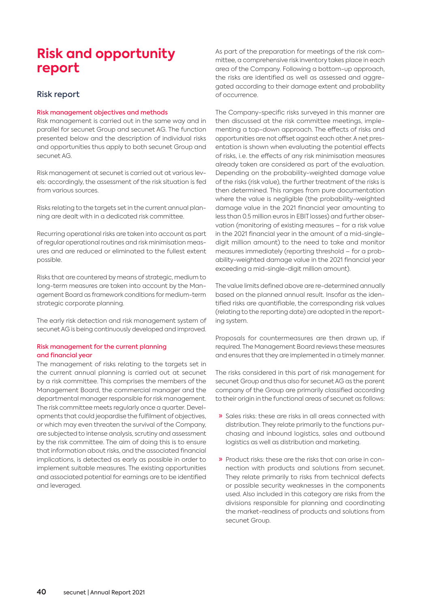# **Risk and opportunity report**

# Risk report

## Risk management objectives and methods

Risk management is carried out in the same way and in parallel for secunet Group and secunet AG. The function presented below and the description of individual risks and opportunities thus apply to both secunet Group and secunet AG.

Risk management at secunet is carried out at various levels: accordingly, the assessment of the risk situation is fed from various sources.

Risks relating to the targets set in the current annual planning are dealt with in a dedicated risk committee.

Recurring operational risks are taken into account as part of regular operational routines and risk minimisation measures and are reduced or eliminated to the fullest extent possible.

Risks that are countered by means of strategic, medium to long-term measures are taken into account by the Management Board as framework conditions for medium-term strategic corporate planning.

The early risk detection and risk management system of secunet AG is being continuously developed and improved.

## Risk management for the current planning and financial year

The management of risks relating to the targets set in the current annual planning is carried out at secunet by a risk committee. This comprises the members of the Management Board, the commercial manager and the departmental manager responsible for risk management. The risk committee meets regularly once a quarter. Developments that could jeopardise the fulfilment of objectives, or which may even threaten the survival of the Company, are subjected to intense analysis, scrutiny and assessment by the risk committee. The aim of doing this is to ensure that information about risks, and the associated financial implications, is detected as early as possible in order to implement suitable measures. The existing opportunities and associated potential for earnings are to be identified and leveraged.

As part of the preparation for meetings of the risk committee, a comprehensive risk inventory takes place in each area of the Company. Following a bottom-up approach, the risks are identified as well as assessed and aggregated according to their damage extent and probability of occurrence.

The Company-specific risks surveyed in this manner are then discussed at the risk committee meetings, implementing a top-down approach. The effects of risks and opportunities are not offset against each other. A net presentation is shown when evaluating the potential effects of risks, i. e. the effects of any risk minimisation measures already taken are considered as part of the evaluation. Depending on the probability-weighted damage value of the risks (risk value), the further treatment of the risks is then determined. This ranges from pure documentation where the value is negligible (the probability-weighted damage value in the 2021 financial year amounting to less than 0.5 million euros in EBIT losses) and further observation (monitoring of existing measures – for a risk value in the 2021 financial year in the amount of a mid-singledigit million amount) to the need to take and monitor measures immediately (reporting threshold – for a probability-weighted damage value in the 2021 financial year exceeding a mid-single-digit million amount).

The value limits defined above are re-determined annually based on the planned annual result. Insofar as the identified risks are quantifiable, the corresponding risk values (relating to the reporting date) are adopted in the reporting system.

Proposals for countermeasures are then drawn up, if required. The Management Board reviews these measures and ensures that they are implemented in a timely manner.

The risks considered in this part of risk management for secunet Group and thus also for secunet AG as the parent company of the Group are primarily classified according to their origin in the functional areas of secunet as follows:

- » Sales risks: these are risks in all areas connected with distribution. They relate primarily to the functions purchasing and inbound logistics, sales and outbound logistics as well as distribution and marketing.
- » Product risks: these are the risks that can arise in connection with products and solutions from secunet. They relate primarily to risks from technical defects or possible security weaknesses in the components used. Also included in this category are risks from the divisions responsible for planning and coordinating the market-readiness of products and solutions from secunet Group.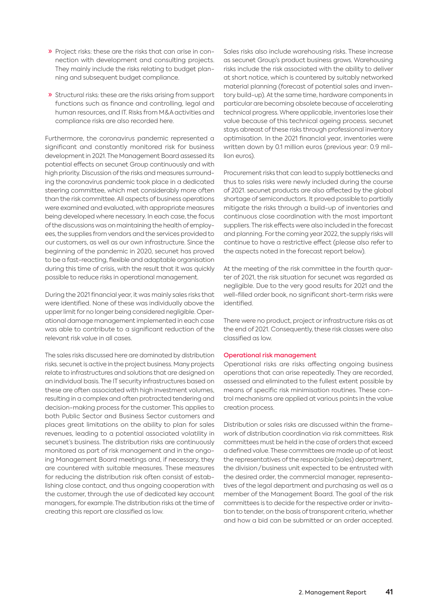- » Project risks: these are the risks that can arise in connection with development and consulting projects. They mainly include the risks relating to budget planning and subsequent budget compliance.
- » Structural risks: these are the risks arising from support functions such as finance and controlling, legal and human resources, and IT. Risks from M & A activities and compliance risks are also recorded here.

Furthermore, the coronavirus pandemic represented a significant and constantly monitored risk for business development in 2021. The Management Board assessed its potential effects on secunet Group continuously and with high priority. Discussion of the risks and measures surrounding the coronavirus pandemic took place in a dedicated steering committee, which met considerably more often than the risk committee. All aspects of business operations were examined and evaluated, with appropriate measures being developed where necessary. In each case, the focus of the discussions was on maintaining the health of employees, the supplies from vendors and the services provided to our customers, as well as our own infrastructure. Since the beginning of the pandemic in 2020, secunet has proved to be a fast-reacting, flexible and adaptable organisation during this time of crisis, with the result that it was quickly possible to reduce risks in operational management.

During the 2021 financial year, it was mainly sales risks that were identified. None of these was individually above the upper limit for no longer being considered negligible. Operational damage management implemented in each case was able to contribute to a significant reduction of the relevant risk value in all cases.

The sales risks discussed here are dominated by distribution risks. secunet is active in the project business. Many projects relate to infrastructures and solutions that are designed on an individual basis. The IT security infrastructures based on these are often associated with high investment volumes, resulting in a complex and often protracted tendering and decision-making process for the customer. This applies to both Public Sector and Business Sector customers and places great limitations on the ability to plan for sales revenues, leading to a potential associated volatility in secunet's business. The distribution risks are continuously monitored as part of risk management and in the ongoing Management Board meetings and, if necessary, they are countered with suitable measures. These measures for reducing the distribution risk often consist of establishing close contact, and thus ongoing cooperation with the customer, through the use of dedicated key account managers, for example. The distribution risks at the time of creating this report are classified as low.

Sales risks also include warehousing risks. These increase as secunet Group's product business grows. Warehousing risks include the risk associated with the ability to deliver at short notice, which is countered by suitably networked material planning (forecast of potential sales and inventory build-up). At the same time, hardware components in particular are becoming obsolete because of accelerating technical progress. Where applicable, inventories lose their value because of this technical ageing process. secunet stays abreast of these risks through professional inventory optimisation. In the 2021 financial year, inventories were written down by 0.1 million euros (previous year: 0.9 million euros).

Procurement risks that can lead to supply bottlenecks and thus to sales risks were newly included during the course of 2021. secunet products are also affected by the global shortage of semiconductors. It proved possible to partially mitigate the risks through a build-up of inventories and continuous close coordination with the most important suppliers. The risk effects were also included in the forecast and planning. For the coming year 2022, the supply risks will continue to have a restrictive effect (please also refer to the aspects noted in the forecast report below).

At the meeting of the risk committee in the fourth quarter of 2021, the risk situation for secunet was regarded as negligible. Due to the very good results for 2021 and the well-filled order book, no significant short-term risks were identified.

There were no product, project or infrastructure risks as at the end of 2021. Consequently, these risk classes were also classified as low.

### Operational risk management

Operational risks are risks affecting ongoing business operations that can arise repeatedly. They are recorded, assessed and eliminated to the fullest extent possible by means of specific risk minimisation routines. These control mechanisms are applied at various points in the value creation process.

Distribution or sales risks are discussed within the framework of distribution coordination via risk committees. Risk committees must be held in the case of orders that exceed a defined value. These committees are made up of at least the representatives of the responsible (sales) department, the division / business unit expected to be entrusted with the desired order, the commercial manager, representatives of the legal department and purchasing as well as a member of the Management Board. The goal of the risk committees is to decide for the respective order or invitation to tender, on the basis of transparent criteria, whether and how a bid can be submitted or an order accepted.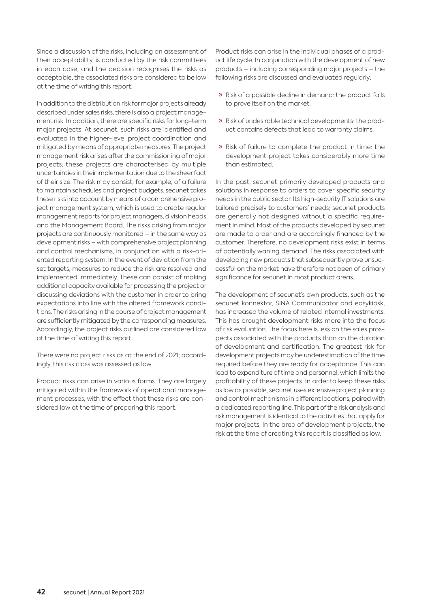Since a discussion of the risks, including an assessment of their acceptability, is conducted by the risk committees in each case, and the decision recognises the risks as acceptable, the associated risks are considered to be low at the time of writing this report.

In addition to the distribution risk for major projects already described under sales risks, there is also a project management risk. In addition, there are specific risks for long-term major projects. At secunet, such risks are identified and evaluated in the higher-level project coordination and mitigated by means of appropriate measures. The project management risk arises after the commissioning of major projects: these projects are characterised by multiple uncertainties in their implementation due to the sheer fact of their size. The risk may consist, for example, of a failure to maintain schedules and project budgets. secunet takes these risks into account by means of a comprehensive project management system, which is used to create regular management reports for project managers, division heads and the Management Board. The risks arising from major projects are continuously monitored – in the same way as development risks – with comprehensive project planning and control mechanisms, in conjunction with a risk-oriented reporting system. In the event of deviation from the set targets, measures to reduce the risk are resolved and implemented immediately. These can consist of making additional capacity available for processing the project or discussing deviations with the customer in order to bring expectations into line with the altered framework conditions. The risks arising in the course of project management are sufficiently mitigated by the corresponding measures. Accordingly, the project risks outlined are considered low at the time of writing this report.

There were no project risks as at the end of 2021; accordingly, this risk class was assessed as low.

Product risks can arise in various forms. They are largely mitigated within the framework of operational management processes, with the effect that these risks are considered low at the time of preparing this report.

Product risks can arise in the individual phases of a product life cycle. In conjunction with the development of new products – including corresponding major projects – the following risks are discussed and evaluated regularly:

- » Risk of a possible decline in demand: the product fails to prove itself on the market.
- » Risk of undesirable technical developments: the product contains defects that lead to warranty claims.
- » Risk of failure to complete the product in time: the development project takes considerably more time than estimated.

In the past, secunet primarily developed products and solutions in response to orders to cover specific security needs in the public sector. Its high-security IT solutions are tailored precisely to customers' needs; secunet products are generally not designed without a specific requirement in mind. Most of the products developed by secunet are made to order and are accordingly financed by the customer. Therefore, no development risks exist in terms of potentially waning demand. The risks associated with developing new products that subsequently prove unsuccessful on the market have therefore not been of primary significance for secunet in most product areas.

The development of secunet's own products, such as the secunet konnektor, SINA Communicator and easykiosk, has increased the volume of related internal investments. This has brought development risks more into the focus of risk evaluation. The focus here is less on the sales prospects associated with the products than on the duration of development and certification. The greatest risk for development projects may be underestimation of the time required before they are ready for acceptance. This can lead to expenditure of time and personnel, which limits the profitability of these projects. In order to keep these risks as low as possible, secunet uses extensive project planning and control mechanisms in different locations, paired with a dedicated reporting line. This part of the risk analysis and risk management is identical to the activities that apply for major projects. In the area of development projects, the risk at the time of creating this report is classified as low.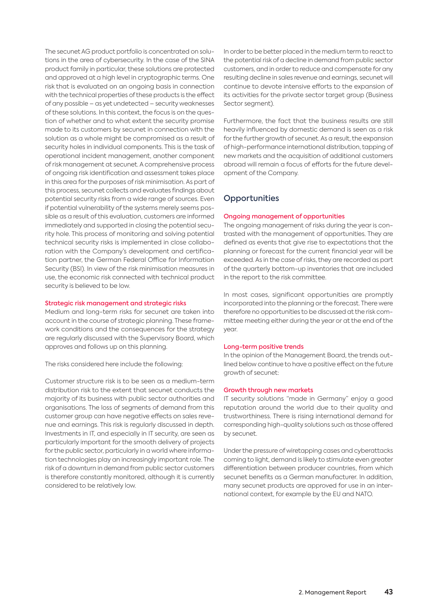The secunet AG product portfolio is concentrated on solutions in the area of cybersecurity. In the case of the SINA product family in particular, these solutions are protected and approved at a high level in cryptographic terms. One risk that is evaluated on an ongoing basis in connection with the technical properties of these products is the effect of any possible – as yet undetected – security weaknesses of these solutions. In this context, the focus is on the question of whether and to what extent the security promise made to its customers by secunet in connection with the solution as a whole might be compromised as a result of security holes in individual components. This is the task of operational incident management, another component of risk management at secunet. A comprehensive process of ongoing risk identification and assessment takes place in this area for the purposes of risk minimisation. As part of this process, secunet collects and evaluates findings about potential security risks from a wide range of sources. Even if potential vulnerability of the systems merely seems possible as a result of this evaluation, customers are informed immediately and supported in closing the potential security hole. This process of monitoring and solving potential technical security risks is implemented in close collaboration with the Company's development and certification partner, the German Federal Office for Information Security (BSI). In view of the risk minimisation measures in use, the economic risk connected with technical product security is believed to be low.

#### Strategic risk management and strategic risks

Medium and long-term risks for secunet are taken into account in the course of strategic planning. These framework conditions and the consequences for the strategy are regularly discussed with the Supervisory Board, which approves and follows up on this planning.

The risks considered here include the following:

Customer structure risk is to be seen as a medium-term distribution risk to the extent that secunet conducts the majority of its business with public sector authorities and organisations. The loss of segments of demand from this customer group can have negative effects on sales revenue and earnings. This risk is regularly discussed in depth. Investments in IT, and especially in IT security, are seen as particularly important for the smooth delivery of projects for the public sector, particularly in a world where information technologies play an increasingly important role. The risk of a downturn in demand from public sector customers is therefore constantly monitored, although it is currently considered to be relatively low.

In order to be better placed in the medium term to react to the potential risk of a decline in demand from public sector customers, and in order to reduce and compensate for any resulting decline in sales revenue and earnings, secunet will continue to devote intensive efforts to the expansion of its activities for the private sector target group (Business Sector segment).

Furthermore, the fact that the business results are still heavily influenced by domestic demand is seen as a risk for the further growth of secunet. As a result, the expansion of high-performance international distribution, tapping of new markets and the acquisition of additional customers abroad will remain a focus of efforts for the future development of the Company.

## **Opportunities**

#### Ongoing management of opportunities

The ongoing management of risks during the year is contrasted with the management of opportunities. They are defined as events that give rise to expectations that the planning or forecast for the current financial year will be exceeded. As in the case of risks, they are recorded as part of the quarterly bottom-up inventories that are included in the report to the risk committee.

In most cases, significant opportunities are promptly incorporated into the planning or the forecast. There were therefore no opportunities to be discussed at the risk committee meeting either during the year or at the end of the year.

#### Long-term positive trends

In the opinion of the Management Board, the trends outlined below continue to have a positive effect on the future growth of secunet:

#### Growth through new markets

IT security solutions "made in Germany" enjoy a good reputation around the world due to their quality and trustworthiness. There is rising international demand for corresponding high-quality solutions such as those offered by secunet.

Under the pressure of wiretapping cases and cyberattacks coming to light, demand is likely to stimulate even greater differentiation between producer countries, from which secunet benefits as a German manufacturer. In addition, many secunet products are approved for use in an international context, for example by the EU and NATO.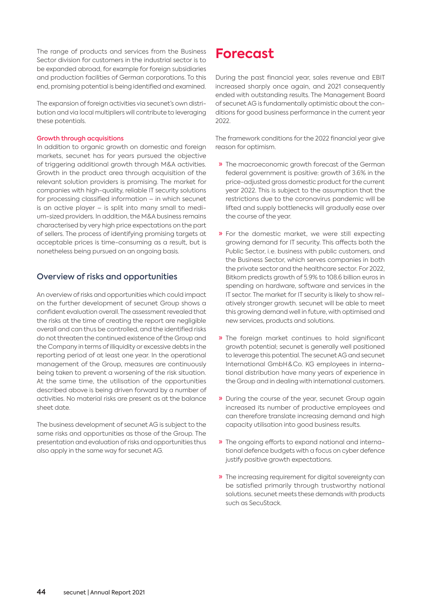The range of products and services from the Business Sector division for customers in the industrial sector is to be expanded abroad, for example for foreign subsidiaries and production facilities of German corporations. To this end, promising potential is being identified and examined.

The expansion of foreign activities via secunet's own distribution and via local multipliers will contribute to leveraging these potentials.

### Growth through acquisitions

In addition to organic growth on domestic and foreign markets, secunet has for years pursued the objective of triggering additional growth through M&A activities. Growth in the product area through acquisition of the relevant solution providers is promising. The market for companies with high-quality, reliable IT security solutions for processing classified information – in which secunet is an active player – is split into many small to medium-sized providers. In addition, the M&A business remains characterised by very high price expectations on the part of sellers. The process of identifying promising targets at acceptable prices is time-consuming as a result, but is nonetheless being pursued on an ongoing basis.

# Overview of risks and opportunities

An overview of risks and opportunities which could impact on the further development of secunet Group shows a confident evaluation overall. The assessment revealed that the risks at the time of creating the report are negligible overall and can thus be controlled, and the identified risks do not threaten the continued existence of the Group and the Company in terms of illiquidity or excessive debts in the reporting period of at least one year. In the operational management of the Group, measures are continuously being taken to prevent a worsening of the risk situation. At the same time, the utilisation of the opportunities described above is being driven forward by a number of activities. No material risks are present as at the balance sheet date.

The business development of secunet AG is subject to the same risks and opportunities as those of the Group. The presentation and evaluation of risks and opportunities thus also apply in the same way for secunet AG.

# **Forecast**

During the past financial year, sales revenue and EBIT increased sharply once again, and 2021 consequently ended with outstanding results. The Management Board of secunet AG is fundamentally optimistic about the conditions for good business performance in the current year 2022.

The framework conditions for the 2022 financial year give reason for optimism.

- » The macroeconomic growth forecast of the German federal government is positive: growth of 3.6% in the price-adjusted gross domestic product for the current year 2022. This is subject to the assumption that the restrictions due to the coronavirus pandemic will be lifted and supply bottlenecks will gradually ease over the course of the year.
- » For the domestic market, we were still expecting growing demand for IT security. This affects both the Public Sector, i.e. business with public customers, and the Business Sector, which serves companies in both the private sector and the healthcare sector. For 2022, Bitkom predicts growth of 5.9% to 108.6 billion euros in spending on hardware, software and services in the IT sector. The market for IT security is likely to show relatively stronger growth. secunet will be able to meet this growing demand well in future, with optimised and new services, products and solutions.
- » The foreign market continues to hold significant growth potential; secunet is generally well positioned to leverage this potential. The secunet AG and secunet International GmbH & Co. KG employees in international distribution have many years of experience in the Group and in dealing with international customers.
- » During the course of the year, secunet Group again increased its number of productive employees and can therefore translate increasing demand and high capacity utilisation into good business results.
- » The ongoing efforts to expand national and international defence budgets with a focus on cyber defence justify positive growth expectations.
- » The increasing requirement for digital sovereignty can be satisfied primarily through trustworthy national solutions. secunet meets these demands with products such as SecuStack.